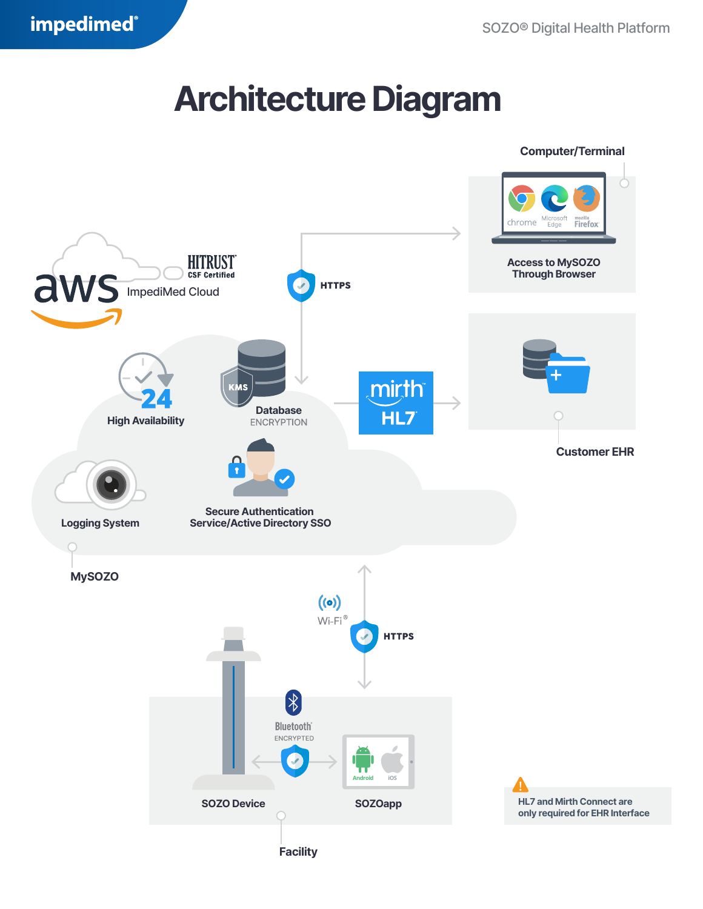## **Architecture Diagram**